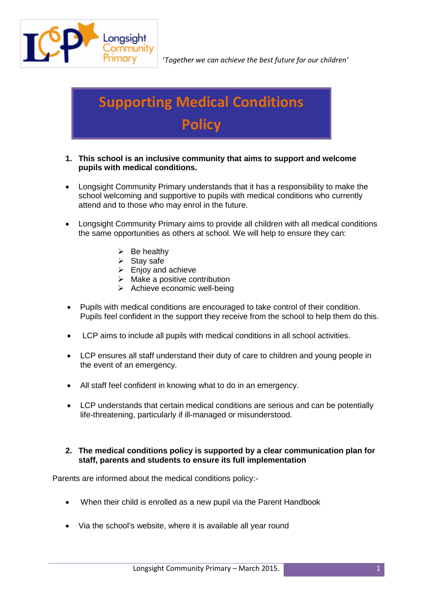

# **Supporting Medical Conditions Policy**

- **1. This school is an inclusive community that aims to support and welcome pupils with medical conditions.**
- Longsight Community Primary understands that it has a responsibility to make the school welcoming and supportive to pupils with medical conditions who currently attend and to those who may enrol in the future.
- Longsight Community Primary aims to provide all children with all medical conditions the same opportunities as others at school. We will help to ensure they can:
	- $\triangleright$  Be healthy
	- $\triangleright$  Stay safe
	- $\triangleright$  Enjoy and achieve
	- $\triangleright$  Make a positive contribution
	- $\triangleright$  Achieve economic well-being
- Pupils with medical conditions are encouraged to take control of their condition. Pupils feel confident in the support they receive from the school to help them do this.
- LCP aims to include all pupils with medical conditions in all school activities.
- LCP ensures all staff understand their duty of care to children and young people in the event of an emergency.
- All staff feel confident in knowing what to do in an emergency.
- LCP understands that certain medical conditions are serious and can be potentially life-threatening, particularly if ill-managed or misunderstood.

#### **2. The medical conditions policy is supported by a clear communication plan for staff, parents and students to ensure its full implementation**

Parents are informed about the medical conditions policy:-

- When their child is enrolled as a new pupil via the Parent Handbook
- Via the school's website, where it is available all year round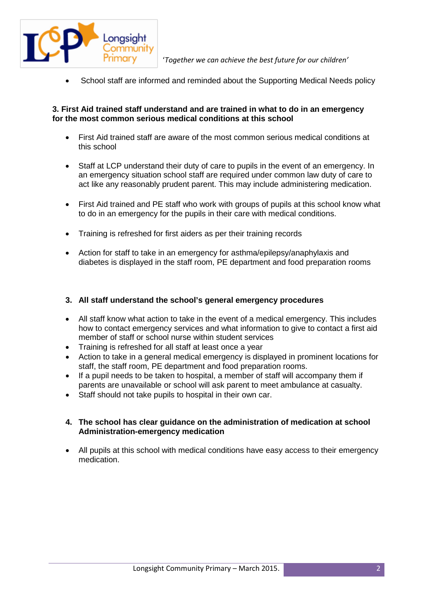

School staff are informed and reminded about the Supporting Medical Needs policy

## **3. First Aid trained staff understand and are trained in what to do in an emergency for the most common serious medical conditions at this school**

- First Aid trained staff are aware of the most common serious medical conditions at this school
- Staff at LCP understand their duty of care to pupils in the event of an emergency. In an emergency situation school staff are required under common law duty of care to act like any reasonably prudent parent. This may include administering medication.
- First Aid trained and PE staff who work with groups of pupils at this school know what to do in an emergency for the pupils in their care with medical conditions.
- Training is refreshed for first aiders as per their training records
- Action for staff to take in an emergency for asthma/epilepsy/anaphylaxis and diabetes is displayed in the staff room, PE department and food preparation rooms

#### **3. All staff understand the school's general emergency procedures**

- All staff know what action to take in the event of a medical emergency. This includes how to contact emergency services and what information to give to contact a first aid member of staff or school nurse within student services
- Training is refreshed for all staff at least once a year
- Action to take in a general medical emergency is displayed in prominent locations for staff, the staff room, PE department and food preparation rooms.
- If a pupil needs to be taken to hospital, a member of staff will accompany them if parents are unavailable or school will ask parent to meet ambulance at casualty.
- Staff should not take pupils to hospital in their own car.

#### **4. The school has clear guidance on the administration of medication at school Administration-emergency medication**

• All pupils at this school with medical conditions have easy access to their emergency medication.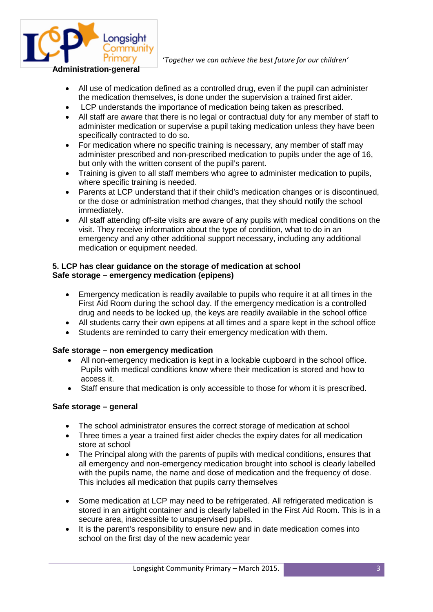

- All use of medication defined as a controlled drug, even if the pupil can administer the medication themselves, is done under the supervision a trained first aider.
- LCP understands the importance of medication being taken as prescribed.
- All staff are aware that there is no legal or contractual duty for any member of staff to administer medication or supervise a pupil taking medication unless they have been specifically contracted to do so.
- For medication where no specific training is necessary, any member of staff may administer prescribed and non-prescribed medication to pupils under the age of 16, but only with the written consent of the pupil's parent.
- Training is given to all staff members who agree to administer medication to pupils, where specific training is needed.
- Parents at LCP understand that if their child's medication changes or is discontinued, or the dose or administration method changes, that they should notify the school immediately.
- All staff attending off-site visits are aware of any pupils with medical conditions on the visit. They receive information about the type of condition, what to do in an emergency and any other additional support necessary, including any additional medication or equipment needed.

# **5. LCP has clear guidance on the storage of medication at school Safe storage – emergency medication (epipens)**

- Emergency medication is readily available to pupils who require it at all times in the First Aid Room during the school day. If the emergency medication is a controlled drug and needs to be locked up, the keys are readily available in the school office
- All students carry their own epipens at all times and a spare kept in the school office
- Students are reminded to carry their emergency medication with them.

#### **Safe storage – non emergency medication**

- All non-emergency medication is kept in a lockable cupboard in the school office. Pupils with medical conditions know where their medication is stored and how to access it.
- Staff ensure that medication is only accessible to those for whom it is prescribed.

#### **Safe storage – general**

- The school administrator ensures the correct storage of medication at school
- Three times a year a trained first aider checks the expiry dates for all medication store at school
- The Principal along with the parents of pupils with medical conditions, ensures that all emergency and non-emergency medication brought into school is clearly labelled with the pupils name, the name and dose of medication and the frequency of dose. This includes all medication that pupils carry themselves
- Some medication at LCP may need to be refrigerated. All refrigerated medication is stored in an airtight container and is clearly labelled in the First Aid Room. This is in a secure area, inaccessible to unsupervised pupils.
- It is the parent's responsibility to ensure new and in date medication comes into school on the first day of the new academic year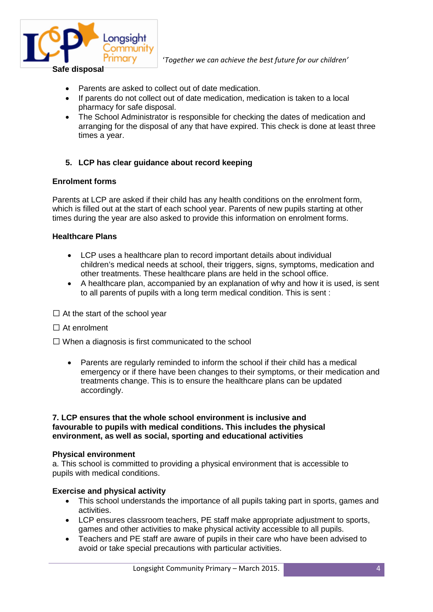

- Parents are asked to collect out of date medication.
- If parents do not collect out of date medication, medication is taken to a local pharmacy for safe disposal.
- The School Administrator is responsible for checking the dates of medication and arranging for the disposal of any that have expired. This check is done at least three times a year.

# **5. LCP has clear guidance about record keeping**

#### **Enrolment forms**

Parents at LCP are asked if their child has any health conditions on the enrolment form, which is filled out at the start of each school year. Parents of new pupils starting at other times during the year are also asked to provide this information on enrolment forms.

#### **Healthcare Plans**

- LCP uses a healthcare plan to record important details about individual children's medical needs at school, their triggers, signs, symptoms, medication and other treatments. These healthcare plans are held in the school office.
- A healthcare plan, accompanied by an explanation of why and how it is used, is sent to all parents of pupils with a long term medical condition. This is sent :
- $\Box$  At the start of the school year
- $\Box$  At enrolment
- $\Box$  When a diagnosis is first communicated to the school
	- Parents are regularly reminded to inform the school if their child has a medical emergency or if there have been changes to their symptoms, or their medication and treatments change. This is to ensure the healthcare plans can be updated accordingly.

#### **7. LCP ensures that the whole school environment is inclusive and favourable to pupils with medical conditions. This includes the physical environment, as well as social, sporting and educational activities**

#### **Physical environment**

a. This school is committed to providing a physical environment that is accessible to pupils with medical conditions.

#### **Exercise and physical activity**

- This school understands the importance of all pupils taking part in sports, games and activities.
- LCP ensures classroom teachers, PE staff make appropriate adjustment to sports, games and other activities to make physical activity accessible to all pupils.
- Teachers and PE staff are aware of pupils in their care who have been advised to avoid or take special precautions with particular activities.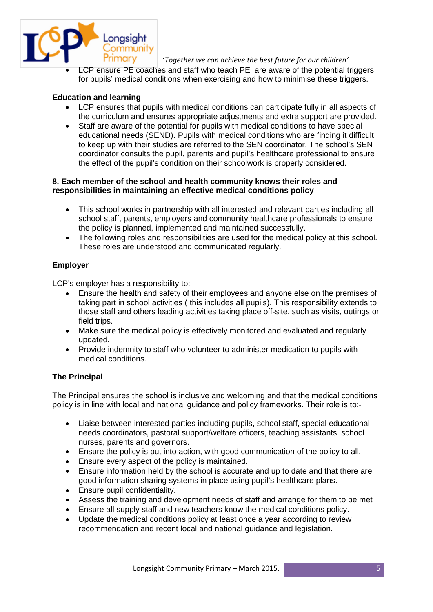

LCP ensure PE coaches and staff who teach PE are aware of the potential triggers for pupils' medical conditions when exercising and how to minimise these triggers.

## **Education and learning**

- LCP ensures that pupils with medical conditions can participate fully in all aspects of the curriculum and ensures appropriate adjustments and extra support are provided.
- Staff are aware of the potential for pupils with medical conditions to have special educational needs (SEND). Pupils with medical conditions who are finding it difficult to keep up with their studies are referred to the SEN coordinator. The school's SEN coordinator consults the pupil, parents and pupil's healthcare professional to ensure the effect of the pupil's condition on their schoolwork is properly considered.

#### **8. Each member of the school and health community knows their roles and responsibilities in maintaining an effective medical conditions policy**

- This school works in partnership with all interested and relevant parties including all school staff, parents, employers and community healthcare professionals to ensure the policy is planned, implemented and maintained successfully.
- The following roles and responsibilities are used for the medical policy at this school. These roles are understood and communicated regularly.

# **Employer**

LCP's employer has a responsibility to:

- Ensure the health and safety of their employees and anyone else on the premises of taking part in school activities ( this includes all pupils). This responsibility extends to those staff and others leading activities taking place off-site, such as visits, outings or field trips.
- Make sure the medical policy is effectively monitored and evaluated and regularly updated.
- Provide indemnity to staff who volunteer to administer medication to pupils with medical conditions.

#### **The Principal**

The Principal ensures the school is inclusive and welcoming and that the medical conditions policy is in line with local and national guidance and policy frameworks. Their role is to:-

- Liaise between interested parties including pupils, school staff, special educational needs coordinators, pastoral support/welfare officers, teaching assistants, school nurses, parents and governors.
- Ensure the policy is put into action, with good communication of the policy to all.
- Ensure every aspect of the policy is maintained.
- Ensure information held by the school is accurate and up to date and that there are good information sharing systems in place using pupil's healthcare plans.
- Ensure pupil confidentiality.
- Assess the training and development needs of staff and arrange for them to be met
- Ensure all supply staff and new teachers know the medical conditions policy.
- Update the medical conditions policy at least once a year according to review recommendation and recent local and national guidance and legislation.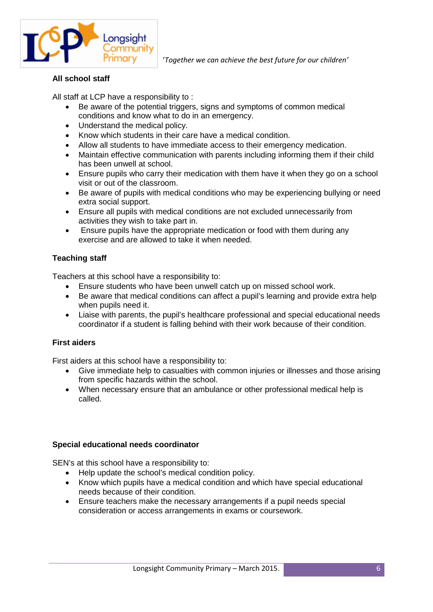

# **All school staff**

All staff at LCP have a responsibility to :

- Be aware of the potential triggers, signs and symptoms of common medical conditions and know what to do in an emergency.
- Understand the medical policy.
- Know which students in their care have a medical condition.
- Allow all students to have immediate access to their emergency medication.
- Maintain effective communication with parents including informing them if their child has been unwell at school.
- Ensure pupils who carry their medication with them have it when they go on a school visit or out of the classroom.
- Be aware of pupils with medical conditions who may be experiencing bullying or need extra social support.
- Ensure all pupils with medical conditions are not excluded unnecessarily from activities they wish to take part in.
- Ensure pupils have the appropriate medication or food with them during any exercise and are allowed to take it when needed.

# **Teaching staff**

Teachers at this school have a responsibility to:

- Ensure students who have been unwell catch up on missed school work.
- Be aware that medical conditions can affect a pupil's learning and provide extra help when pupils need it.
- Liaise with parents, the pupil's healthcare professional and special educational needs coordinator if a student is falling behind with their work because of their condition.

#### **First aiders**

First aiders at this school have a responsibility to:

- Give immediate help to casualties with common injuries or illnesses and those arising from specific hazards within the school.
- When necessary ensure that an ambulance or other professional medical help is called.

#### **Special educational needs coordinator**

SEN's at this school have a responsibility to:

- Help update the school's medical condition policy.
- Know which pupils have a medical condition and which have special educational needs because of their condition.
- Ensure teachers make the necessary arrangements if a pupil needs special consideration or access arrangements in exams or coursework.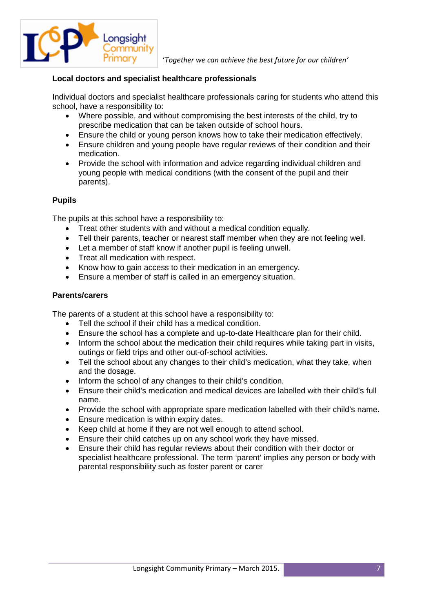

## **Local doctors and specialist healthcare professionals**

Individual doctors and specialist healthcare professionals caring for students who attend this school, have a responsibility to:

- Where possible, and without compromising the best interests of the child, try to prescribe medication that can be taken outside of school hours.
- Ensure the child or young person knows how to take their medication effectively.
- Ensure children and young people have regular reviews of their condition and their medication.
- Provide the school with information and advice regarding individual children and young people with medical conditions (with the consent of the pupil and their parents).

#### **Pupils**

The pupils at this school have a responsibility to:

- Treat other students with and without a medical condition equally.
- Tell their parents, teacher or nearest staff member when they are not feeling well.
- Let a member of staff know if another pupil is feeling unwell.
- Treat all medication with respect.
- Know how to gain access to their medication in an emergency.
- Ensure a member of staff is called in an emergency situation.

#### **Parents/carers**

The parents of a student at this school have a responsibility to:

- Tell the school if their child has a medical condition.
- Ensure the school has a complete and up-to-date Healthcare plan for their child.
- Inform the school about the medication their child requires while taking part in visits, outings or field trips and other out-of-school activities.
- Tell the school about any changes to their child's medication, what they take, when and the dosage.
- Inform the school of any changes to their child's condition.
- Ensure their child's medication and medical devices are labelled with their child's full name.
- Provide the school with appropriate spare medication labelled with their child's name.
- Ensure medication is within expiry dates.
- Keep child at home if they are not well enough to attend school.
- Ensure their child catches up on any school work they have missed.
- Ensure their child has regular reviews about their condition with their doctor or specialist healthcare professional. The term 'parent' implies any person or body with parental responsibility such as foster parent or carer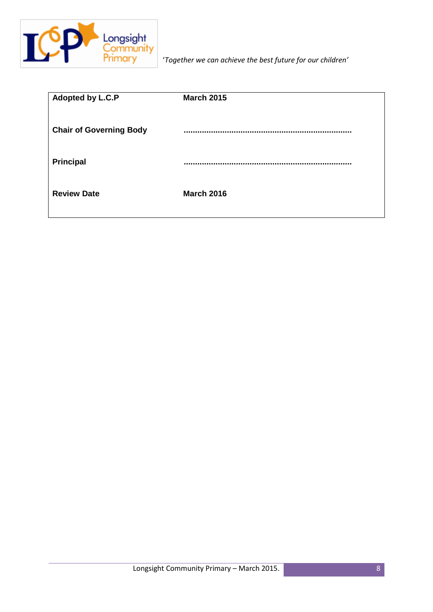

| Adopted by L.C.P               | <b>March 2015</b> |
|--------------------------------|-------------------|
|                                |                   |
| <b>Chair of Governing Body</b> |                   |
|                                |                   |
| Principal                      |                   |
|                                |                   |
|                                |                   |
| <b>Review Date</b>             | <b>March 2016</b> |
|                                |                   |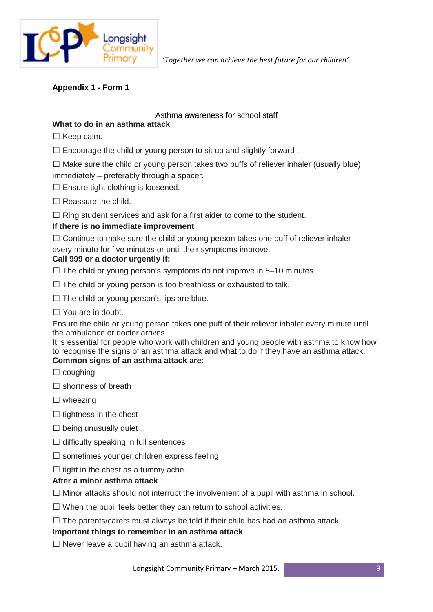

# **Appendix 1 - Form 1**

## Asthma awareness for school staff

# **What to do in an asthma attack**

- $\Box$  Keep calm.
- $\Box$  Encourage the child or young person to sit up and slightly forward.
- $\Box$  Make sure the child or young person takes two puffs of reliever inhaler (usually blue) immediately – preferably through a spacer.
- $\square$  Ensure tight clothing is loosened.
- $\Box$  Reassure the child.
- $\Box$  Ring student services and ask for a first aider to come to the student.

# **If there is no immediate improvement**

 $\Box$  Continue to make sure the child or young person takes one puff of reliever inhaler every minute for five minutes or until their symptoms improve.

#### **Call 999 or a doctor urgently if:**

 $\Box$  The child or young person's symptoms do not improve in 5–10 minutes.

- $\Box$  The child or young person is too breathless or exhausted to talk.
- $\Box$  The child or young person's lips are blue.
- $\Box$  You are in doubt.

Ensure the child or young person takes one puff of their reliever inhaler every minute until the ambulance or doctor arrives.

It is essential for people who work with children and young people with asthma to know how to recognise the signs of an asthma attack and what to do if they have an asthma attack. **Common signs of an asthma attack are:**

- $\Box$  coughing
- $\square$  shortness of breath
- $\Box$  wheezing
- $\Box$  tightness in the chest
- $\square$  being unusually quiet
- $\Box$  difficulty speaking in full sentences
- $\square$  sometimes younger children express feeling
- $\Box$  tight in the chest as a tummy ache.

# **After a minor asthma attack**

- $\Box$  Minor attacks should not interrupt the involvement of a pupil with asthma in school.
- $\Box$  When the pupil feels better they can return to school activities.
- $\Box$  The parents/carers must always be told if their child has had an asthma attack.

#### **Important things to remember in an asthma attack**

 $\Box$  Never leave a pupil having an asthma attack.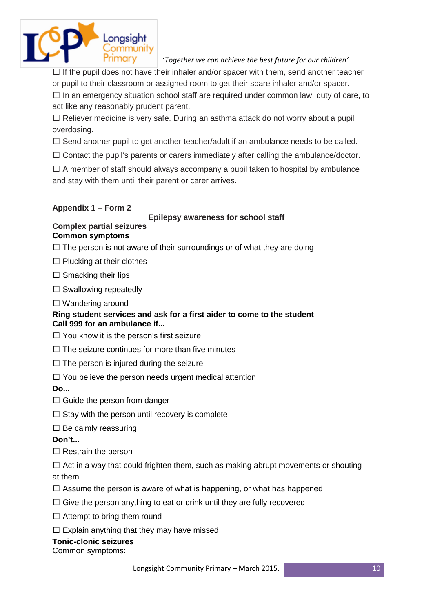

 $\Box$  If the pupil does not have their inhaler and/or spacer with them, send another teacher or pupil to their classroom or assigned room to get their spare inhaler and/or spacer.

 $\Box$  In an emergency situation school staff are required under common law, duty of care, to act like any reasonably prudent parent.

 $\Box$  Reliever medicine is very safe. During an asthma attack do not worry about a pupil overdosing.

 $\Box$  Send another pupil to get another teacher/adult if an ambulance needs to be called.

 $\Box$  Contact the pupil's parents or carers immediately after calling the ambulance/doctor.

 $\Box$  A member of staff should always accompany a pupil taken to hospital by ambulance and stay with them until their parent or carer arrives.

# **Appendix 1 – Form 2**

# **Epilepsy awareness for school staff**

#### **Complex partial seizures Common symptoms**

 $\Box$  The person is not aware of their surroundings or of what they are doing

 $\Box$  Plucking at their clothes

 $\square$  Smacking their lips

 $\Box$  Swallowing repeatedly

 $\Box$  Wandering around

# **Ring student services and ask for a first aider to come to the student Call 999 for an ambulance if...**

- $\Box$  You know it is the person's first seizure
- $\Box$  The seizure continues for more than five minutes
- $\Box$  The person is injured during the seizure
- $\Box$  You believe the person needs urgent medical attention

**Do...**

- $\Box$  Guide the person from danger
- $\Box$  Stay with the person until recovery is complete
- $\square$  Be calmly reassuring

**Don't...**

- $\Box$  Restrain the person
- $\Box$  Act in a way that could frighten them, such as making abrupt movements or shouting at them
- $\Box$  Assume the person is aware of what is happening, or what has happened
- $\Box$  Give the person anything to eat or drink until they are fully recovered
- $\Box$  Attempt to bring them round
- $\square$  Explain anything that they may have missed

#### **Tonic-clonic seizures**

Common symptoms: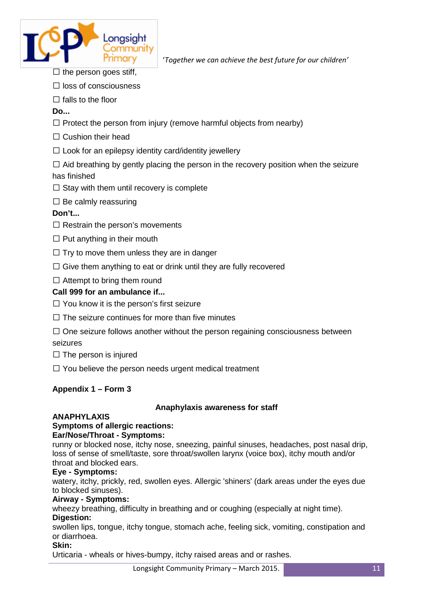

- $\Box$  the person goes stiff,
- $\Box$  loss of consciousness
- $\Box$  falls to the floor

**Do...**

- $\Box$  Protect the person from injury (remove harmful objects from nearby)
- $\Box$  Cushion their head
- $\square$  Look for an epilepsy identity card/identity jewellery

 $\Box$  Aid breathing by gently placing the person in the recovery position when the seizure has finished

- $\Box$  Stay with them until recovery is complete
- $\square$  Be calmly reassuring

# **Don't...**

- $\Box$  Restrain the person's movements
- $\Box$  Put anything in their mouth
- $\Box$  Trv to move them unless they are in danger
- $\Box$  Give them anything to eat or drink until they are fully recovered
- $\Box$  Attempt to bring them round

# **Call 999 for an ambulance if...**

- $\Box$  You know it is the person's first seizure
- $\Box$  The seizure continues for more than five minutes
- $\Box$  One seizure follows another without the person regaining consciousness between seizures
- $\Box$  The person is injured
- $\Box$  You believe the person needs urgent medical treatment

# **Appendix 1 – Form 3**

# **Anaphylaxis awareness for staff**

# **ANAPHYLAXIS**

# **Symptoms of allergic reactions:**

# **Ear/Nose/Throat - Symptoms:**

runny or blocked nose, itchy nose, sneezing, painful sinuses, headaches, post nasal drip, loss of sense of smell/taste, sore throat/swollen larynx (voice box), itchy mouth and/or throat and blocked ears.

# **Eye - Symptoms:**

watery, itchy, prickly, red, swollen eyes. Allergic 'shiners' (dark areas under the eyes due to blocked sinuses).

# **Airway - Symptoms:**

wheezy breathing, difficulty in breathing and or coughing (especially at night time). **Digestion:**

swollen lips, tongue, itchy tongue, stomach ache, feeling sick, vomiting, constipation and or diarrhoea.

# **Skin:**

Urticaria - wheals or hives-bumpy, itchy raised areas and or rashes.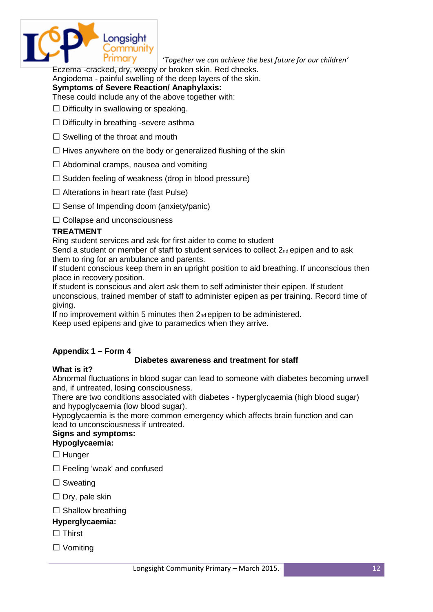

Eczema -cracked, dry, weepy or broken skin. Red cheeks.

Angiodema - painful swelling of the deep layers of the skin.

# **Symptoms of Severe Reaction/ Anaphylaxis:**

These could include any of the above together with:

- $\Box$  Difficulty in swallowing or speaking.
- $\Box$  Difficulty in breathing -severe asthma
- $\Box$  Swelling of the throat and mouth
- $\Box$  Hives anywhere on the body or generalized flushing of the skin
- $\Box$  Abdominal cramps, nausea and vomiting
- $\Box$  Sudden feeling of weakness (drop in blood pressure)
- $\Box$  Alterations in heart rate (fast Pulse)
- $\Box$  Sense of Impending doom (anxiety/panic)

Collapse and unconsciousness

# **TREATMENT**

Ring student services and ask for first aider to come to student

Send a student or member of staff to student services to collect 2nd epipen and to ask them to ring for an ambulance and parents.

If student conscious keep them in an upright position to aid breathing. If unconscious then place in recovery position.

If student is conscious and alert ask them to self administer their epipen. If student unconscious, trained member of staff to administer epipen as per training. Record time of giving.

If no improvement within 5 minutes then 2<sub>nd</sub> epipen to be administered.

Keep used epipens and give to paramedics when they arrive.

# **Appendix 1 – Form 4**

#### **Diabetes awareness and treatment for staff**

#### **What is it?**

Abnormal fluctuations in blood sugar can lead to someone with diabetes becoming unwell and, if untreated, losing consciousness.

There are two conditions associated with diabetes - hyperglycaemia (high blood sugar) and hypoglycaemia (low blood sugar).

Hypoglycaemia is the more common emergency which affects brain function and can lead to unconsciousness if untreated.

# **Signs and symptoms:**

**Hypoglycaemia:**

- $\Box$  Hunger
- □ Feeling 'weak' and confused
- $\square$  Sweating
- $\Box$  Dry, pale skin
- $\square$  Shallow breathing

# **Hyperglycaemia:**

- $\Box$  Thirst
- $\Box$  Vomiting